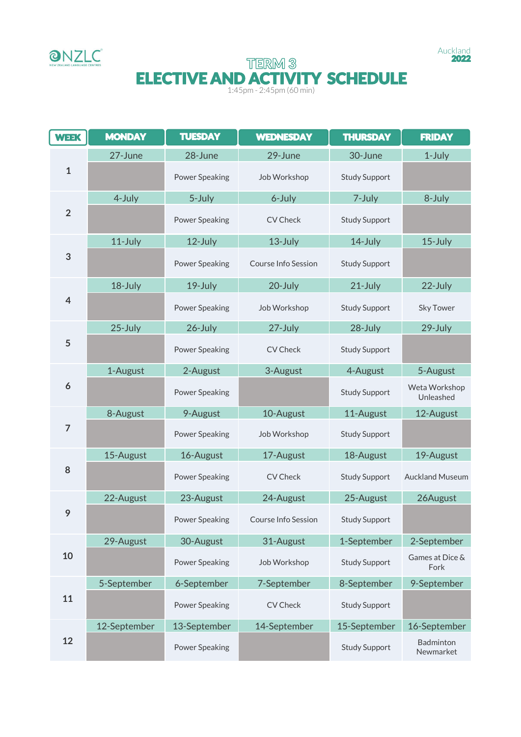



# TERM<sup>3</sup> **ELECTIVE AND ACTIVITY SCHEDULE**

| <b>WEEK</b>             | <b>MONDAY</b> | <b>TUESDAY</b>        | <b>WEDNESDAY</b>           | <b>THURSDAY</b>      | <b>FRIDAY</b>              |
|-------------------------|---------------|-----------------------|----------------------------|----------------------|----------------------------|
|                         | 27-June       | 28-June               | 29-June                    | 30-June              | 1-July                     |
| $\mathbf{1}$            |               | <b>Power Speaking</b> | Job Workshop               | <b>Study Support</b> |                            |
| $\overline{2}$          | 4-July        | 5-July                | 6-July                     | 7-July               | 8-July                     |
|                         |               | <b>Power Speaking</b> | <b>CV Check</b>            | <b>Study Support</b> |                            |
| 3                       | 11-July       | 12-July               | 13-July                    | 14-July              | 15-July                    |
|                         |               | <b>Power Speaking</b> | Course Info Session        | <b>Study Support</b> |                            |
| $\overline{\mathbf{4}}$ | 18-July       | 19-July               | 20-July                    | 21-July              | 22-July                    |
|                         |               | <b>Power Speaking</b> | Job Workshop               | <b>Study Support</b> | <b>Sky Tower</b>           |
| 5                       | 25-July       | 26-July               | 27-July                    | 28-July              | 29-July                    |
|                         |               | <b>Power Speaking</b> | <b>CV Check</b>            | <b>Study Support</b> |                            |
| 6                       | 1-August      | 2-August              | 3-August                   | 4-August             | 5-August                   |
|                         |               | <b>Power Speaking</b> |                            | <b>Study Support</b> | Weta Workshop<br>Unleashed |
| $\overline{7}$          | 8-August      | 9-August              | 10-August                  | 11-August            | 12-August                  |
|                         |               | <b>Power Speaking</b> | Job Workshop               | <b>Study Support</b> |                            |
| 8                       | 15-August     | 16-August             | 17-August                  | 18-August            | 19-August                  |
|                         |               | <b>Power Speaking</b> | <b>CV Check</b>            | <b>Study Support</b> | <b>Auckland Museum</b>     |
| 9                       | 22-August     | 23-August             | 24-August                  | 25-August            | 26August                   |
|                         |               | <b>Power Speaking</b> | <b>Course Info Session</b> | <b>Study Support</b> |                            |
| 10                      | 29-August     | 30-August             | 31-August                  | 1-September          | 2-September                |
|                         |               | <b>Power Speaking</b> | Job Workshop               | <b>Study Support</b> | Games at Dice &<br>Fork    |
| 11                      | 5-September   | 6-September           | 7-September                | 8-September          | 9-September                |
|                         |               | <b>Power Speaking</b> | CV Check                   | <b>Study Support</b> |                            |
| 12                      | 12-September  | 13-September          | 14-September               | 15-September         | 16-September               |
|                         |               | <b>Power Speaking</b> |                            | <b>Study Support</b> | Badminton<br>Newmarket     |